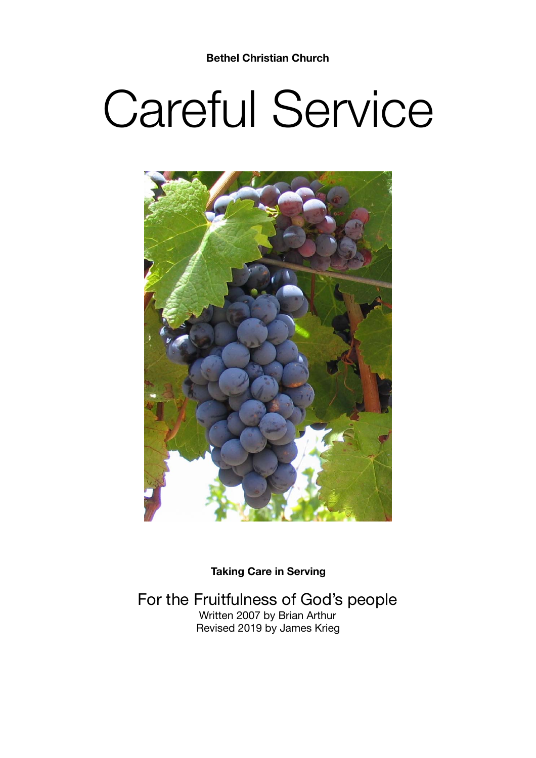# Careful Service



**Taking Care in Serving** 

For the Fruitfulness of God's people Written 2007 by Brian Arthur Revised 2019 by James Krieg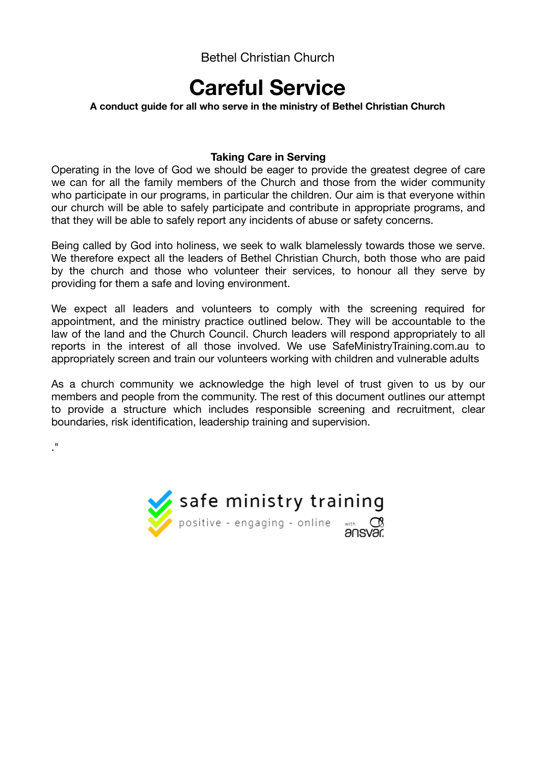## **Careful Service**

#### **A conduct guide for all who serve in the ministry of Bethel Christian Church**

#### **Taking Care in Serving**

Operating in the love of God we should be eager to provide the greatest degree of care we can for all the family members of the Church and those from the wider community who participate in our programs, in particular the children. Our aim is that everyone within our church will be able to safely participate and contribute in appropriate programs, and that they will be able to safely report any incidents of abuse or safety concerns.

Being called by God into holiness, we seek to walk blamelessly towards those we serve. We therefore expect all the leaders of Bethel Christian Church, both those who are paid by the church and those who volunteer their services, to honour all they serve by providing for them a safe and loving environment.

We expect all leaders and volunteers to comply with the screening required for appointment, and the ministry practice outlined below. They will be accountable to the law of the land and the Church Council. Church leaders will respond appropriately to all reports in the interest of all those involved. We use SafeMinistryTraining.com.au to appropriately screen and train our volunteers working with children and vulnerable adults

As a church community we acknowledge the high level of trust given to us by our members and people from the community. The rest of this document outlines our attempt to provide a structure which includes responsible screening and recruitment, clear boundaries, risk identification, leadership training and supervision.

."

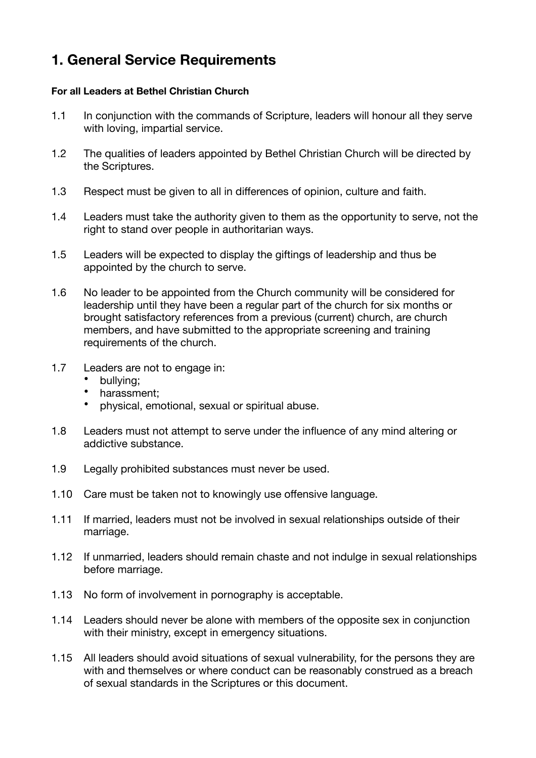## **1. General Service Requirements**

#### **For all Leaders at Bethel Christian Church**

- 1.1 In conjunction with the commands of Scripture, leaders will honour all they serve with loving, impartial service.
- 1.2 The qualities of leaders appointed by Bethel Christian Church will be directed by the Scriptures.
- 1.3 Respect must be given to all in differences of opinion, culture and faith.
- 1.4 Leaders must take the authority given to them as the opportunity to serve, not the right to stand over people in authoritarian ways.
- 1.5 Leaders will be expected to display the giftings of leadership and thus be appointed by the church to serve.
- 1.6 No leader to be appointed from the Church community will be considered for leadership until they have been a regular part of the church for six months or brought satisfactory references from a previous (current) church, are church members, and have submitted to the appropriate screening and training requirements of the church.
- 1.7 Leaders are not to engage in:
	- bullying;
	- harassment;
	- physical, emotional, sexual or spiritual abuse.
- 1.8 Leaders must not attempt to serve under the influence of any mind altering or addictive substance.
- 1.9 Legally prohibited substances must never be used.
- 1.10 Care must be taken not to knowingly use offensive language.
- 1.11 If married, leaders must not be involved in sexual relationships outside of their marriage.
- 1.12 If unmarried, leaders should remain chaste and not indulge in sexual relationships before marriage.
- 1.13 No form of involvement in pornography is acceptable.
- 1.14 Leaders should never be alone with members of the opposite sex in conjunction with their ministry, except in emergency situations.
- 1.15 All leaders should avoid situations of sexual vulnerability, for the persons they are with and themselves or where conduct can be reasonably construed as a breach of sexual standards in the Scriptures or this document.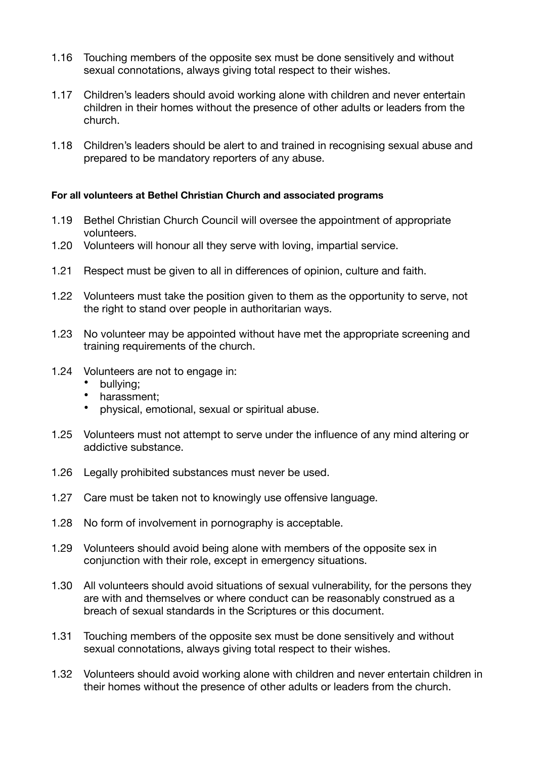- 1.16 Touching members of the opposite sex must be done sensitively and without sexual connotations, always giving total respect to their wishes.
- 1.17 Children's leaders should avoid working alone with children and never entertain children in their homes without the presence of other adults or leaders from the church.
- 1.18 Children's leaders should be alert to and trained in recognising sexual abuse and prepared to be mandatory reporters of any abuse.

#### **For all volunteers at Bethel Christian Church and associated programs**

- 1.19 Bethel Christian Church Council will oversee the appointment of appropriate volunteers.
- 1.20 Volunteers will honour all they serve with loving, impartial service.
- 1.21 Respect must be given to all in differences of opinion, culture and faith.
- 1.22 Volunteers must take the position given to them as the opportunity to serve, not the right to stand over people in authoritarian ways.
- 1.23 No volunteer may be appointed without have met the appropriate screening and training requirements of the church.
- 1.24 Volunteers are not to engage in:
	- bullying;
	- harassment;
	- physical, emotional, sexual or spiritual abuse.
- 1.25 Volunteers must not attempt to serve under the influence of any mind altering or addictive substance.
- 1.26 Legally prohibited substances must never be used.
- 1.27 Care must be taken not to knowingly use offensive language.
- 1.28 No form of involvement in pornography is acceptable.
- 1.29 Volunteers should avoid being alone with members of the opposite sex in conjunction with their role, except in emergency situations.
- 1.30 All volunteers should avoid situations of sexual vulnerability, for the persons they are with and themselves or where conduct can be reasonably construed as a breach of sexual standards in the Scriptures or this document.
- 1.31 Touching members of the opposite sex must be done sensitively and without sexual connotations, always giving total respect to their wishes.
- 1.32 Volunteers should avoid working alone with children and never entertain children in their homes without the presence of other adults or leaders from the church.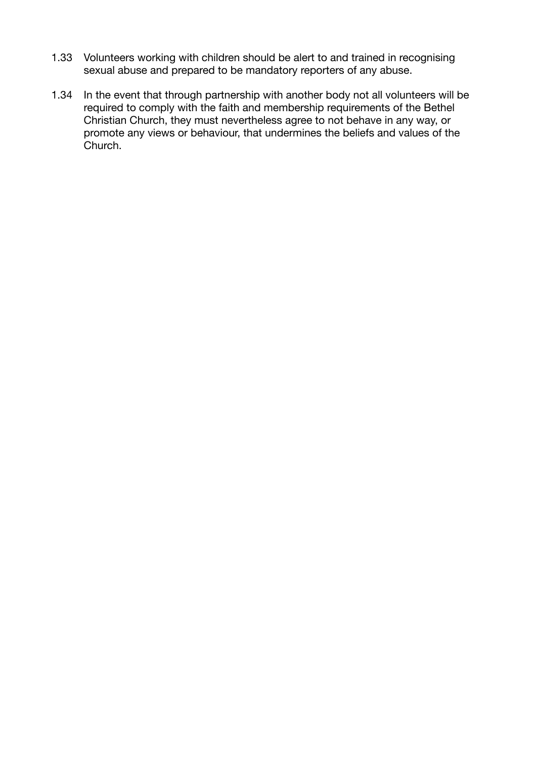- 1.33 Volunteers working with children should be alert to and trained in recognising sexual abuse and prepared to be mandatory reporters of any abuse.
- 1.34 In the event that through partnership with another body not all volunteers will be required to comply with the faith and membership requirements of the Bethel Christian Church, they must nevertheless agree to not behave in any way, or promote any views or behaviour, that undermines the beliefs and values of the Church.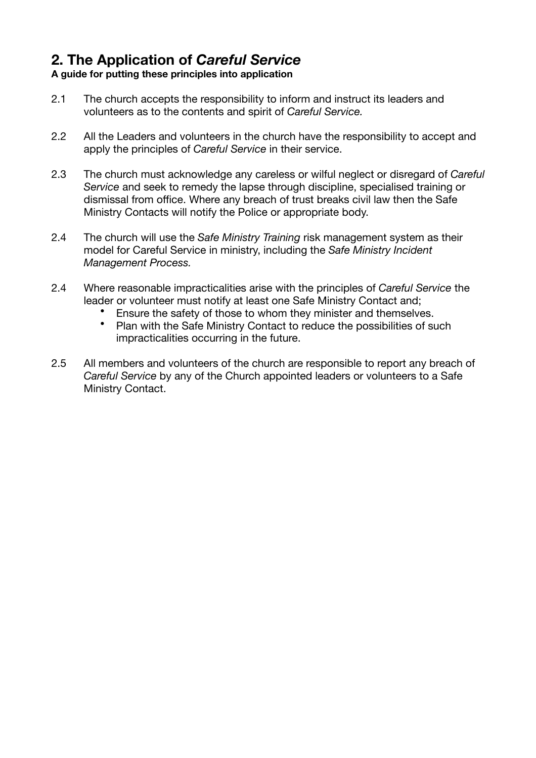## **2. The Application of** *Careful Service*

### **A guide for putting these principles into application**

- 2.1 The church accepts the responsibility to inform and instruct its leaders and volunteers as to the contents and spirit of *Careful Service.*
- 2.2 All the Leaders and volunteers in the church have the responsibility to accept and apply the principles of *Careful Service* in their service.
- 2.3 The church must acknowledge any careless or wilful neglect or disregard of *Careful Service* and seek to remedy the lapse through discipline, specialised training or dismissal from office. Where any breach of trust breaks civil law then the Safe Ministry Contacts will notify the Police or appropriate body.
- 2.4 The church will use the *Safe Ministry Training* risk management system as their model for Careful Service in ministry, including the *Safe Ministry Incident Management Process.*
- 2.4 Where reasonable impracticalities arise with the principles of *Careful Service* the leader or volunteer must notify at least one Safe Ministry Contact and;
	- Ensure the safety of those to whom they minister and themselves.
	- Plan with the Safe Ministry Contact to reduce the possibilities of such impracticalities occurring in the future.
- 2.5 All members and volunteers of the church are responsible to report any breach of *Careful Service* by any of the Church appointed leaders or volunteers to a Safe Ministry Contact.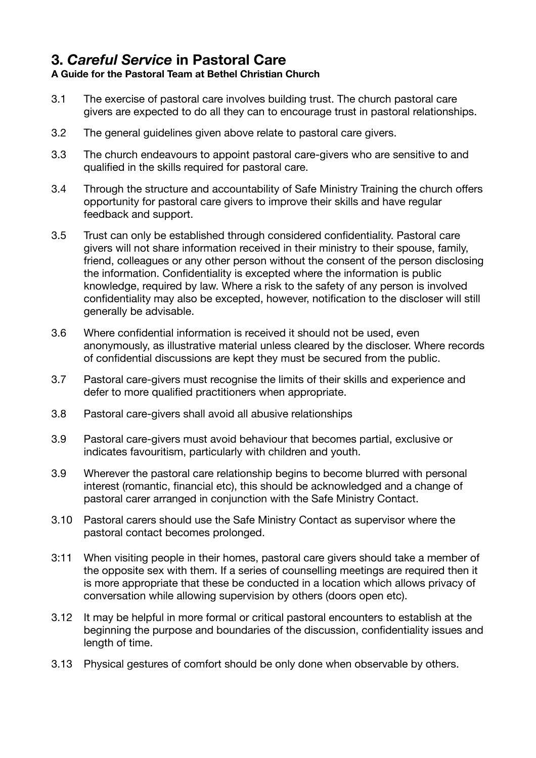## **3.** *Careful Service* **in Pastoral Care**

## **A Guide for the Pastoral Team at Bethel Christian Church**

- 3.1 The exercise of pastoral care involves building trust. The church pastoral care givers are expected to do all they can to encourage trust in pastoral relationships.
- 3.2 The general guidelines given above relate to pastoral care givers.
- 3.3 The church endeavours to appoint pastoral care-givers who are sensitive to and qualified in the skills required for pastoral care.
- 3.4 Through the structure and accountability of Safe Ministry Training the church offers opportunity for pastoral care givers to improve their skills and have regular feedback and support.
- 3.5 Trust can only be established through considered confidentiality. Pastoral care givers will not share information received in their ministry to their spouse, family, friend, colleagues or any other person without the consent of the person disclosing the information. Confidentiality is excepted where the information is public knowledge, required by law. Where a risk to the safety of any person is involved confidentiality may also be excepted, however, notification to the discloser will still generally be advisable.
- 3.6 Where confidential information is received it should not be used, even anonymously, as illustrative material unless cleared by the discloser. Where records of confidential discussions are kept they must be secured from the public.
- 3.7 Pastoral care-givers must recognise the limits of their skills and experience and defer to more qualified practitioners when appropriate.
- 3.8 Pastoral care-givers shall avoid all abusive relationships
- 3.9 Pastoral care-givers must avoid behaviour that becomes partial, exclusive or indicates favouritism, particularly with children and youth.
- 3.9 Wherever the pastoral care relationship begins to become blurred with personal interest (romantic, financial etc), this should be acknowledged and a change of pastoral carer arranged in conjunction with the Safe Ministry Contact.
- 3.10 Pastoral carers should use the Safe Ministry Contact as supervisor where the pastoral contact becomes prolonged.
- 3:11 When visiting people in their homes, pastoral care givers should take a member of the opposite sex with them. If a series of counselling meetings are required then it is more appropriate that these be conducted in a location which allows privacy of conversation while allowing supervision by others (doors open etc).
- 3.12 It may be helpful in more formal or critical pastoral encounters to establish at the beginning the purpose and boundaries of the discussion, confidentiality issues and length of time.
- 3.13 Physical gestures of comfort should be only done when observable by others.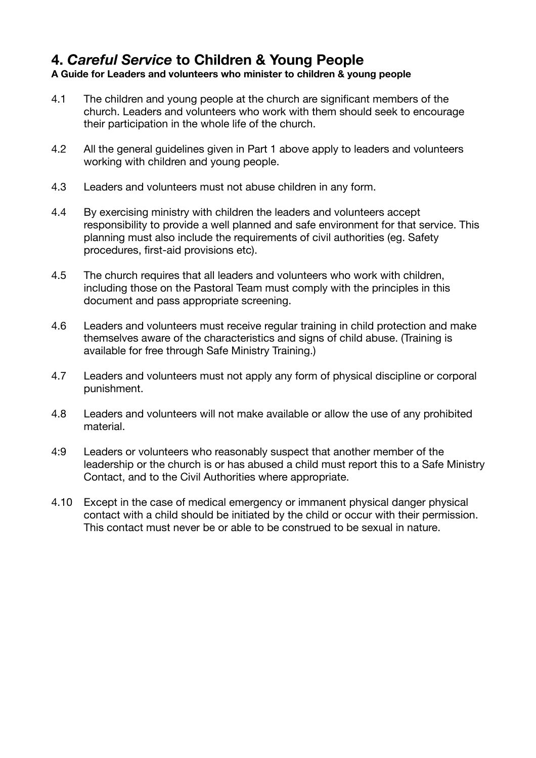## **4.** *Careful Service* **to Children & Young People**

#### **A Guide for Leaders and volunteers who minister to children & young people**

- 4.1 The children and young people at the church are significant members of the church. Leaders and volunteers who work with them should seek to encourage their participation in the whole life of the church.
- 4.2 All the general guidelines given in Part 1 above apply to leaders and volunteers working with children and young people.
- 4.3 Leaders and volunteers must not abuse children in any form.
- 4.4 By exercising ministry with children the leaders and volunteers accept responsibility to provide a well planned and safe environment for that service. This planning must also include the requirements of civil authorities (eg. Safety procedures, first-aid provisions etc).
- 4.5 The church requires that all leaders and volunteers who work with children, including those on the Pastoral Team must comply with the principles in this document and pass appropriate screening.
- 4.6 Leaders and volunteers must receive regular training in child protection and make themselves aware of the characteristics and signs of child abuse. (Training is available for free through Safe Ministry Training.)
- 4.7 Leaders and volunteers must not apply any form of physical discipline or corporal punishment.
- 4.8 Leaders and volunteers will not make available or allow the use of any prohibited material.
- 4:9 Leaders or volunteers who reasonably suspect that another member of the leadership or the church is or has abused a child must report this to a Safe Ministry Contact, and to the Civil Authorities where appropriate.
- 4.10 Except in the case of medical emergency or immanent physical danger physical contact with a child should be initiated by the child or occur with their permission. This contact must never be or able to be construed to be sexual in nature.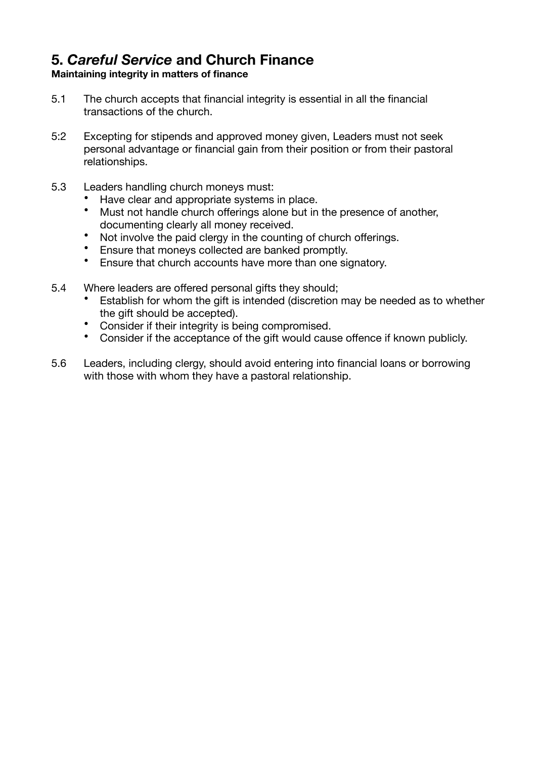## **5.** *Careful Service* **and Church Finance**

### **Maintaining integrity in matters of finance**

- 5.1 The church accepts that financial integrity is essential in all the financial transactions of the church.
- 5:2 Excepting for stipends and approved money given, Leaders must not seek personal advantage or financial gain from their position or from their pastoral relationships.
- 5.3 Leaders handling church moneys must:
	- Have clear and appropriate systems in place.
	- Must not handle church offerings alone but in the presence of another, documenting clearly all money received.
	- Not involve the paid clergy in the counting of church offerings.
	- Ensure that moneys collected are banked promptly.
	- Ensure that church accounts have more than one signatory.
- 5.4 Where leaders are offered personal gifts they should;
	- Establish for whom the gift is intended (discretion may be needed as to whether the gift should be accepted).
	- Consider if their integrity is being compromised.
	- Consider if the acceptance of the gift would cause offence if known publicly.
- 5.6 Leaders, including clergy, should avoid entering into financial loans or borrowing with those with whom they have a pastoral relationship.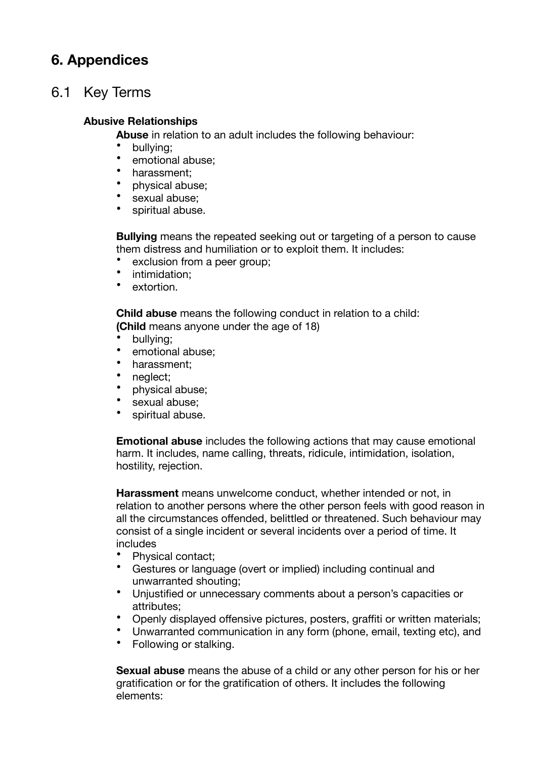## **6. Appendices**

## 6.1 Key Terms

### **Abusive Relationships**

**Abuse** in relation to an adult includes the following behaviour:

- bullying;
- emotional abuse;
- harassment;
- physical abuse;
- sexual abuse;
- spiritual abuse.

**Bullying** means the repeated seeking out or targeting of a person to cause them distress and humiliation or to exploit them. It includes:

- exclusion from a peer group;
- intimidation:
- extortion.

**Child abuse** means the following conduct in relation to a child: **(Child** means anyone under the age of 18)

- bullying;
- emotional abuse:
- harassment;
- neglect;
- physical abuse;
- sexual abuse;
- spiritual abuse.

**Emotional abuse** includes the following actions that may cause emotional harm. It includes, name calling, threats, ridicule, intimidation, isolation, hostility, rejection.

**Harassment** means unwelcome conduct, whether intended or not, in relation to another persons where the other person feels with good reason in all the circumstances offended, belittled or threatened. Such behaviour may consist of a single incident or several incidents over a period of time. It includes

- Physical contact;
- Gestures or language (overt or implied) including continual and unwarranted shouting;
- Unjustified or unnecessary comments about a person's capacities or attributes;
- Openly displayed offensive pictures, posters, graffiti or written materials;
- Unwarranted communication in any form (phone, email, texting etc), and
- Following or stalking.

**Sexual abuse** means the abuse of a child or any other person for his or her gratification or for the gratification of others. It includes the following elements: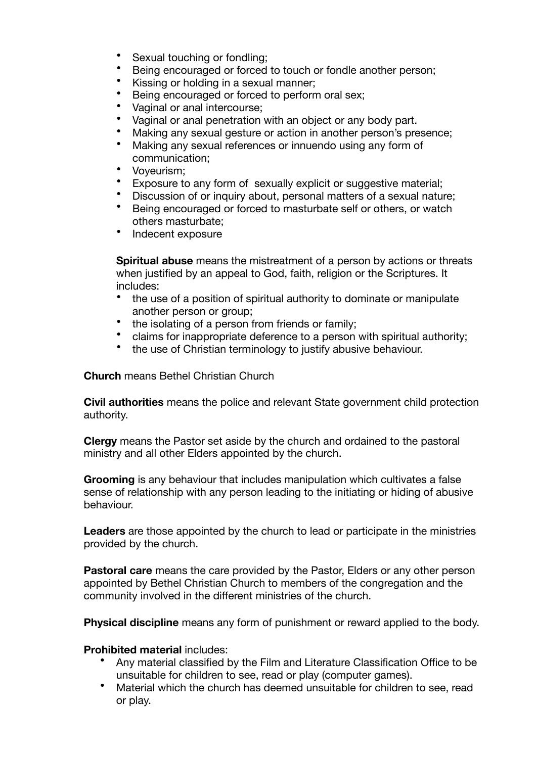- Sexual touching or fondling:
- Being encouraged or forced to touch or fondle another person;
- Kissing or holding in a sexual manner;
- Being encouraged or forced to perform oral sex:
- Vaginal or anal intercourse:
- Vaginal or anal penetration with an object or any body part.
- Making any sexual gesture or action in another person's presence;
- Making any sexual references or innuendo using any form of communication;
- Voyeurism;
- Exposure to any form of sexually explicit or suggestive material:
- Discussion of or inquiry about, personal matters of a sexual nature;
- Being encouraged or forced to masturbate self or others, or watch others masturbate;
- Indecent exposure

**Spiritual abuse** means the mistreatment of a person by actions or threats when justified by an appeal to God, faith, religion or the Scriptures. It includes:

- the use of a position of spiritual authority to dominate or manipulate another person or group;
- the isolating of a person from friends or family;
- claims for inappropriate deference to a person with spiritual authority;
- the use of Christian terminology to justify abusive behaviour.

**Church** means Bethel Christian Church

**Civil authorities** means the police and relevant State government child protection authority.

**Clergy** means the Pastor set aside by the church and ordained to the pastoral ministry and all other Elders appointed by the church.

**Grooming** is any behaviour that includes manipulation which cultivates a false sense of relationship with any person leading to the initiating or hiding of abusive behaviour.

**Leaders** are those appointed by the church to lead or participate in the ministries provided by the church.

**Pastoral care** means the care provided by the Pastor, Elders or any other person appointed by Bethel Christian Church to members of the congregation and the community involved in the different ministries of the church.

**Physical discipline** means any form of punishment or reward applied to the body.

#### **Prohibited material** includes:

- Any material classified by the Film and Literature Classification Office to be unsuitable for children to see, read or play (computer games).
- Material which the church has deemed unsuitable for children to see, read or play.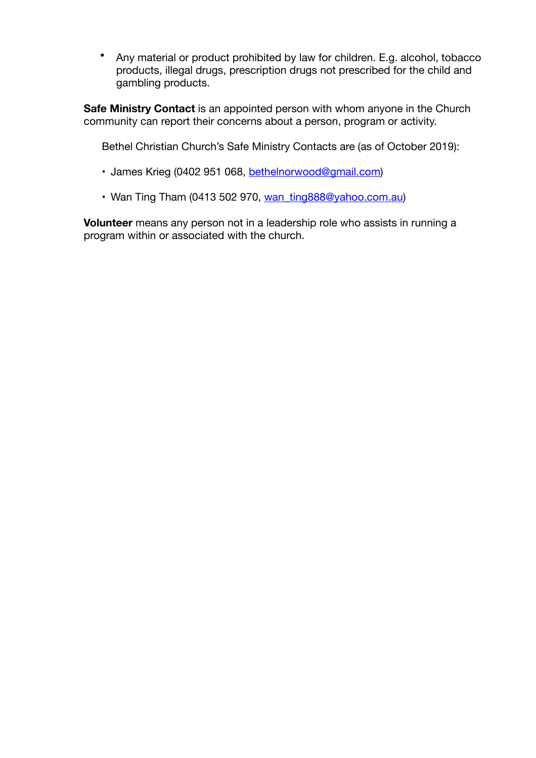• Any material or product prohibited by law for children. E.g. alcohol, tobacco products, illegal drugs, prescription drugs not prescribed for the child and gambling products.

**Safe Ministry Contact** is an appointed person with whom anyone in the Church community can report their concerns about a person, program or activity.

Bethel Christian Church's Safe Ministry Contacts are (as of October 2019):

- James Krieg (0402 951 068, [bethelnorwood@gmail.com](mailto:bethelnorwood@gmail.com))
- Wan Ting Tham (0413 502 970, wan ting888@yahoo.com.au)

**Volunteer** means any person not in a leadership role who assists in running a program within or associated with the church.